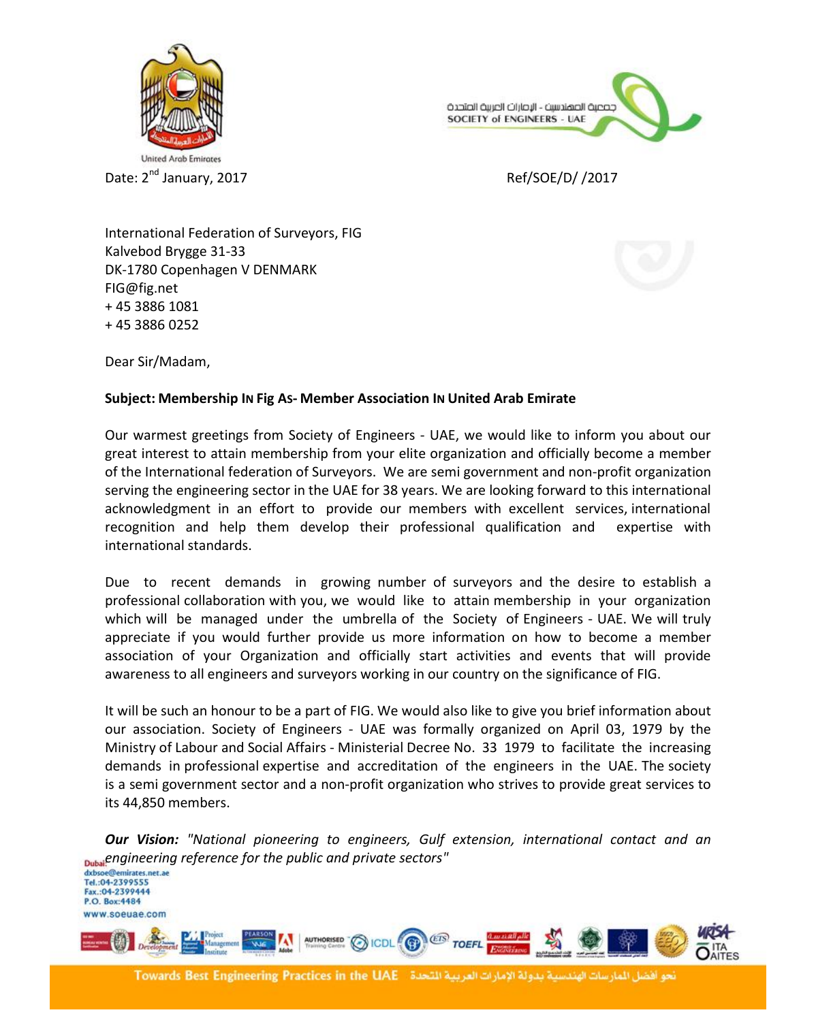



Ref/SOE/D/ /2017

International Federation of Surveyors, FIG Kalvebod Brygge 31-33 DK-1780 Copenhagen V DENMARK FIG@fig.net + 45 3886 1081 + 45 3886 0252

Dear Sir/Madam,

## **Subject: Membership IN Fig AS- Member Association IN United Arab Emirate**

Our warmest greetings from Society of Engineers - UAE, we would like to inform you about our great interest to attain membership from your elite organization and officially become a member of the International federation of Surveyors. We are semi government and non-profit organization serving the engineering sector in the UAE for 38 years. We are looking forward to this international acknowledgment in an effort to provide our members with excellent services, international recognition and help them develop their professional qualification and expertise with international standards.

Due to recent demands in growing number of surveyors and the desire to establish a professional collaboration with you, we would like to attain membership in your organization which will be managed under the umbrella of the Society of Engineers - UAE. We will truly appreciate if you would further provide us more information on how to become a member association of your Organization and officially start activities and events that will provide awareness to all engineers and surveyors working in our country on the significance of FIG.

It will be such an honour to be a part of FIG. We would also like to give you brief information about our association. Society of Engineers - UAE was formally organized on April 03, 1979 by the Ministry of Labour and Social Affairs - Ministerial Decree No. 33 1979 to facilitate the increasing demands in professional expertise and accreditation of the engineers in the UAE. The society is a semi government sector and a non-profit organization who strives to provide great services to its 44,850 members.

*Our Vision: "National pioneering to engineers, Gulf extension, international contact and an Pubal<sup>2</sup> PIG incering reference for the public and private sectors"***<br>dxbsoe@emirates.net.ae**